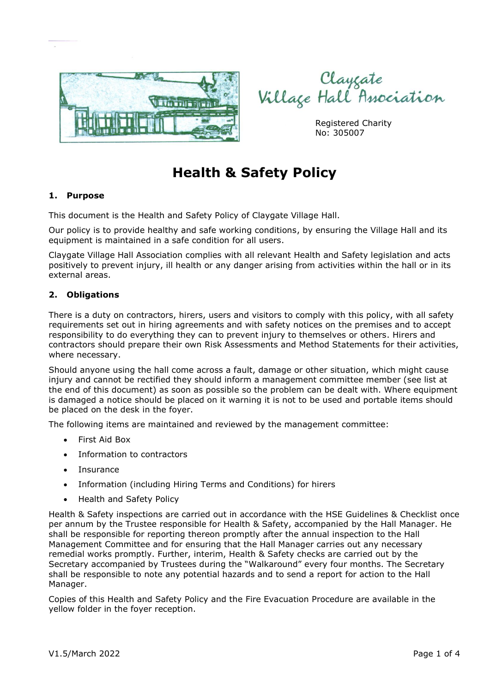



Registered Charity No: 305007

# **Health & Safety Policy**

## **1. Purpose**

This document is the Health and Safety Policy of Claygate Village Hall.

Our policy is to provide healthy and safe working conditions, by ensuring the Village Hall and its equipment is maintained in a safe condition for all users.

Claygate Village Hall Association complies with all relevant Health and Safety legislation and acts positively to prevent injury, ill health or any danger arising from activities within the hall or in its external areas.

#### **2. Obligations**

There is a duty on contractors, hirers, users and visitors to comply with this policy, with all safety requirements set out in hiring agreements and with safety notices on the premises and to accept responsibility to do everything they can to prevent injury to themselves or others. Hirers and contractors should prepare their own Risk Assessments and Method Statements for their activities, where necessary.

Should anyone using the hall come across a fault, damage or other situation, which might cause injury and cannot be rectified they should inform a management committee member (see list at the end of this document) as soon as possible so the problem can be dealt with. Where equipment is damaged a notice should be placed on it warning it is not to be used and portable items should be placed on the desk in the foyer.

The following items are maintained and reviewed by the management committee:

- First Aid Box
- Information to contractors
- Insurance
- Information (including Hiring Terms and Conditions) for hirers
- Health and Safety Policy

Health & Safety inspections are carried out in accordance with the HSE Guidelines & Checklist once per annum by the Trustee responsible for Health & Safety, accompanied by the Hall Manager. He shall be responsible for reporting thereon promptly after the annual inspection to the Hall Management Committee and for ensuring that the Hall Manager carries out any necessary remedial works promptly. Further, interim, Health & Safety checks are carried out by the Secretary accompanied by Trustees during the "Walkaround" every four months. The Secretary shall be responsible to note any potential hazards and to send a report for action to the Hall Manager.

Copies of this Health and Safety Policy and the Fire Evacuation Procedure are available in the yellow folder in the foyer reception.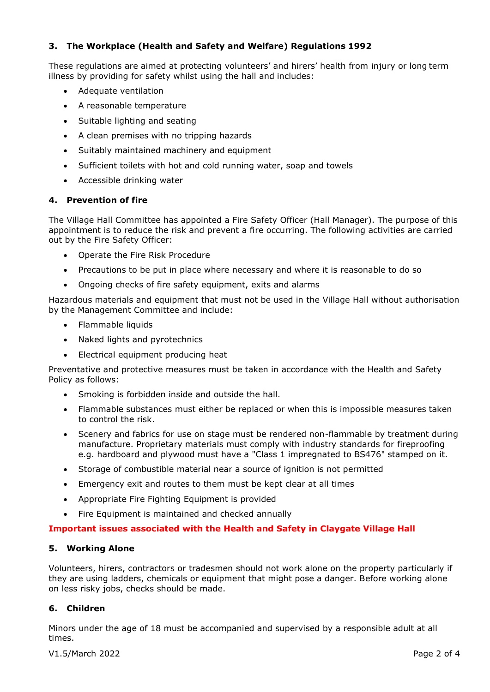## **3. The Workplace (Health and Safety and Welfare) Regulations 1992**

These regulations are aimed at protecting volunteers' and hirers' health from injury or long term illness by providing for safety whilst using the hall and includes:

- Adequate ventilation
- A reasonable temperature
- Suitable lighting and seating
- A clean premises with no tripping hazards
- Suitably maintained machinery and equipment
- Sufficient toilets with hot and cold running water, soap and towels
- Accessible drinking water

## **4. Prevention of fire**

The Village Hall Committee has appointed a Fire Safety Officer (Hall Manager). The purpose of this appointment is to reduce the risk and prevent a fire occurring. The following activities are carried out by the Fire Safety Officer:

- Operate the Fire Risk Procedure
- Precautions to be put in place where necessary and where it is reasonable to do so
- Ongoing checks of fire safety equipment, exits and alarms

Hazardous materials and equipment that must not be used in the Village Hall without authorisation by the Management Committee and include:

- Flammable liquids
- Naked lights and pyrotechnics
- Electrical equipment producing heat

Preventative and protective measures must be taken in accordance with the Health and Safety Policy as follows:

- Smoking is forbidden inside and outside the hall.
- Flammable substances must either be replaced or when this is impossible measures taken to control the risk.
- Scenery and fabrics for use on stage must be rendered non-flammable by treatment during manufacture. Proprietary materials must comply with industry standards for fireproofing e.g. hardboard and plywood must have a "Class 1 impregnated to BS476" stamped on it.
- Storage of combustible material near a source of ignition is not permitted
- Emergency exit and routes to them must be kept clear at all times
- Appropriate Fire Fighting Equipment is provided
- Fire Equipment is maintained and checked annually

## **Important issues associated with the Health and Safety in Claygate Village Hall**

## **5. Working Alone**

Volunteers, hirers, contractors or tradesmen should not work alone on the property particularly if they are using ladders, chemicals or equipment that might pose a danger. Before working alone on less risky jobs, checks should be made.

## **6. Children**

Minors under the age of 18 must be accompanied and supervised by a responsible adult at all times.

V1.5/March 2022 **Page 2 of 4**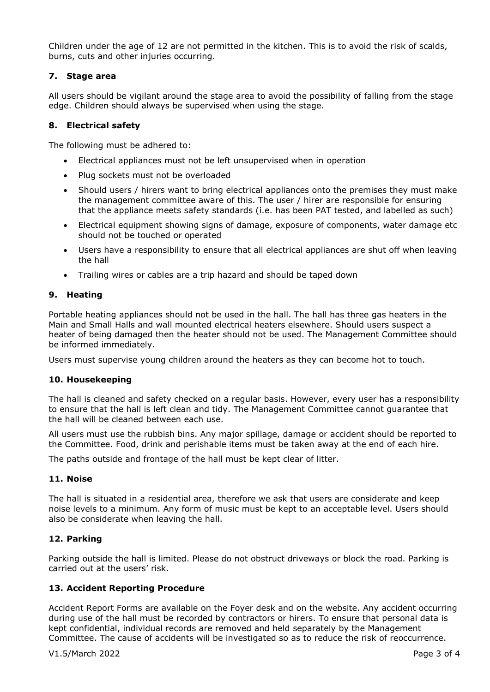Children under the age of 12 are not permitted in the kitchen. This is to avoid the risk of scalds, burns, cuts and other injuries occurring.

#### **7. Stage area**

All users should be vigilant around the stage area to avoid the possibility of falling from the stage edge. Children should always be supervised when using the stage.

#### **8. Electrical safety**

The following must be adhered to:

- Electrical appliances must not be left unsupervised when in operation
- Plug sockets must not be overloaded
- Should users / hirers want to bring electrical appliances onto the premises they must make the management committee aware of this. The user / hirer are responsible for ensuring that the appliance meets safety standards (i.e. has been PAT tested, and labelled as such)
- Electrical equipment showing signs of damage, exposure of components, water damage etc should not be touched or operated
- Users have a responsibility to ensure that all electrical appliances are shut off when leaving the hall
- Trailing wires or cables are a trip hazard and should be taped down

## **9. Heating**

Portable heating appliances should not be used in the hall. The hall has three gas heaters in the Main and Small Halls and wall mounted electrical heaters elsewhere. Should users suspect a heater of being damaged then the heater should not be used. The Management Committee should be informed immediately.

Users must supervise young children around the heaters as they can become hot to touch.

#### **10. Housekeeping**

The hall is cleaned and safety checked on a regular basis. However, every user has a responsibility to ensure that the hall is left clean and tidy. The Management Committee cannot guarantee that the hall will be cleaned between each use.

All users must use the rubbish bins. Any major spillage, damage or accident should be reported to the Committee. Food, drink and perishable items must be taken away at the end of each hire.

The paths outside and frontage of the hall must be kept clear of litter.

#### **11. Noise**

The hall is situated in a residential area, therefore we ask that users are considerate and keep noise levels to a minimum. Any form of music must be kept to an acceptable level. Users should also be considerate when leaving the hall.

#### **12. Parking**

Parking outside the hall is limited. Please do not obstruct driveways or block the road. Parking is carried out at the users' risk.

#### **13. Accident Reporting Procedure**

Accident Report Forms are available on the Foyer desk and on the website. Any accident occurring during use of the hall must be recorded by contractors or hirers. To ensure that personal data is kept confidential, individual records are removed and held separately by the Management Committee. The cause of accidents will be investigated so as to reduce the risk of reoccurrence.